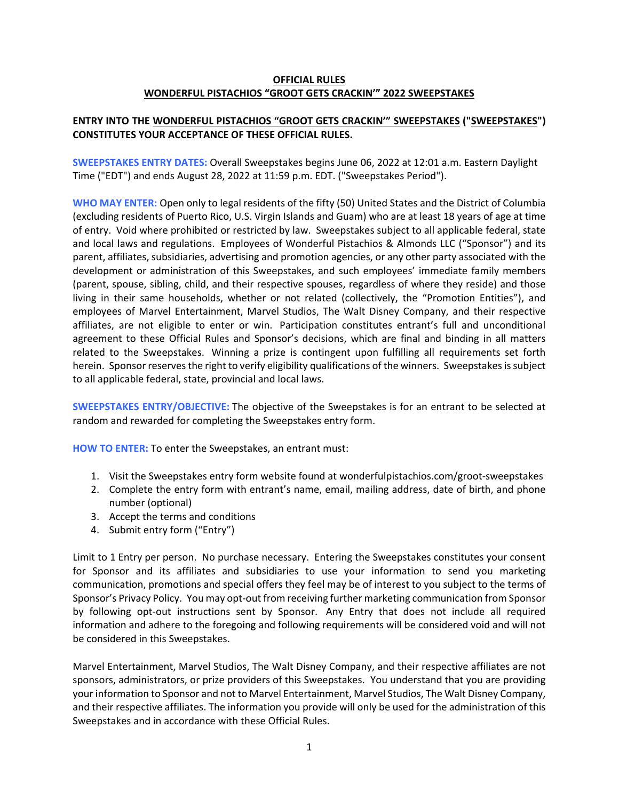### **OFFICIAL RULES WONDERFUL PISTACHIOS "GROOT GETS CRACKIN'" 2022 SWEEPSTAKES**

# **ENTRY INTO THE WONDERFUL PISTACHIOS "GROOT GETS CRACKIN'" SWEEPSTAKES ("SWEEPSTAKES") CONSTITUTES YOUR ACCEPTANCE OF THESE OFFICIAL RULES.**

**SWEEPSTAKES ENTRY DATES:** Overall Sweepstakes begins June 06, 2022 at 12:01 a.m. Eastern Daylight Time ("EDT") and ends August 28, 2022 at 11:59 p.m. EDT. ("Sweepstakes Period").

**WHO MAY ENTER:** Open only to legal residents of the fifty (50) United States and the District of Columbia (excluding residents of Puerto Rico, U.S. Virgin Islands and Guam) who are at least 18 years of age at time of entry. Void where prohibited or restricted by law. Sweepstakes subject to all applicable federal, state and local laws and regulations. Employees of Wonderful Pistachios & Almonds LLC ("Sponsor") and its parent, affiliates, subsidiaries, advertising and promotion agencies, or any other party associated with the development or administration of this Sweepstakes, and such employees' immediate family members (parent, spouse, sibling, child, and their respective spouses, regardless of where they reside) and those living in their same households, whether or not related (collectively, the "Promotion Entities"), and employees of Marvel Entertainment, Marvel Studios, The Walt Disney Company, and their respective affiliates, are not eligible to enter or win. Participation constitutes entrant's full and unconditional agreement to these Official Rules and Sponsor's decisions, which are final and binding in all matters related to the Sweepstakes. Winning a prize is contingent upon fulfilling all requirements set forth herein. Sponsor reserves the right to verify eligibility qualifications of the winners. Sweepstakes is subject to all applicable federal, state, provincial and local laws.

**SWEEPSTAKES ENTRY/OBJECTIVE:** The objective of the Sweepstakes is for an entrant to be selected at random and rewarded for completing the Sweepstakes entry form.

**HOW TO ENTER:** To enter the Sweepstakes, an entrant must:

- 1. Visit the Sweepstakes entry form website found at wonderfulpistachios.com/groot‐sweepstakes
- 2. Complete the entry form with entrant's name, email, mailing address, date of birth, and phone number (optional)
- 3. Accept the terms and conditions
- 4. Submit entry form ("Entry")

Limit to 1 Entry per person. No purchase necessary. Entering the Sweepstakes constitutes your consent for Sponsor and its affiliates and subsidiaries to use your information to send you marketing communication, promotions and special offers they feel may be of interest to you subject to the terms of Sponsor's Privacy Policy. You may opt-out from receiving further marketing communication from Sponsor by following opt‐out instructions sent by Sponsor. Any Entry that does not include all required information and adhere to the foregoing and following requirements will be considered void and will not be considered in this Sweepstakes.

Marvel Entertainment, Marvel Studios, The Walt Disney Company, and their respective affiliates are not sponsors, administrators, or prize providers of this Sweepstakes. You understand that you are providing your information to Sponsor and not to Marvel Entertainment, Marvel Studios, The Walt Disney Company, and their respective affiliates. The information you provide will only be used for the administration of this Sweepstakes and in accordance with these Official Rules.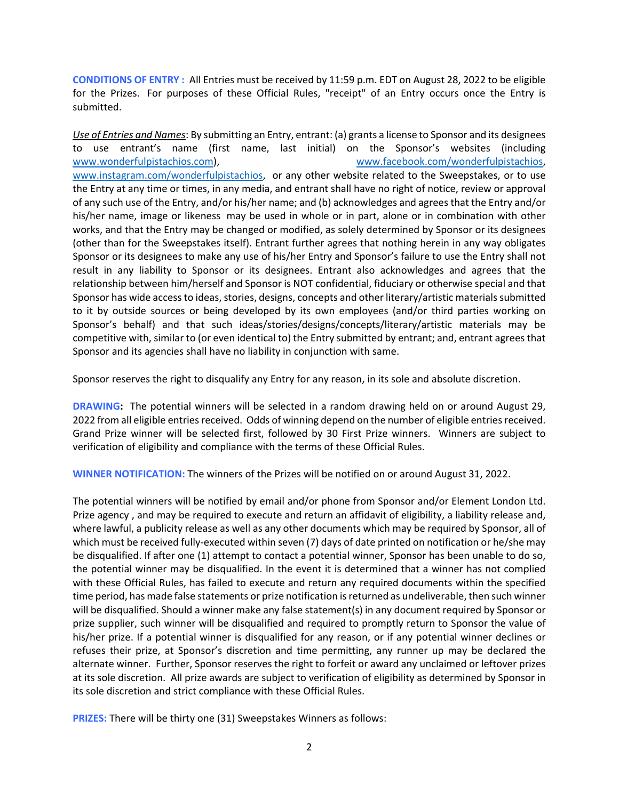**CONDITIONS OF ENTRY :** All Entries must be received by 11:59 p.m. EDT on August 28, 2022 to be eligible for the Prizes. For purposes of these Official Rules, "receipt" of an Entry occurs once the Entry is submitted.

*Use of Entries and Names*: By submitting an Entry, entrant: (a) grants a license to Sponsor and its designees to use entrant's name (first name, last initial) on the Sponsor's websites (including www.wonderfulpistachios.com), www.facebook.com/wonderfulpistachios, www.instagram.com/wonderfulpistachios, or any other website related to the Sweepstakes, or to use the Entry at any time or times, in any media, and entrant shall have no right of notice, review or approval of any such use of the Entry, and/or his/her name; and (b) acknowledges and agrees that the Entry and/or his/her name, image or likeness may be used in whole or in part, alone or in combination with other works, and that the Entry may be changed or modified, as solely determined by Sponsor or its designees (other than for the Sweepstakes itself). Entrant further agrees that nothing herein in any way obligates Sponsor or its designees to make any use of his/her Entry and Sponsor's failure to use the Entry shall not result in any liability to Sponsor or its designees. Entrant also acknowledges and agrees that the relationship between him/herself and Sponsor is NOT confidential, fiduciary or otherwise special and that Sponsor has wide access to ideas, stories, designs, concepts and other literary/artistic materials submitted to it by outside sources or being developed by its own employees (and/or third parties working on Sponsor's behalf) and that such ideas/stories/designs/concepts/literary/artistic materials may be competitive with, similar to (or even identical to) the Entry submitted by entrant; and, entrant agrees that Sponsor and its agencies shall have no liability in conjunction with same.

Sponsor reserves the right to disqualify any Entry for any reason, in its sole and absolute discretion.

**DRAWING:** The potential winners will be selected in a random drawing held on or around August 29, 2022 from all eligible entries received. Odds of winning depend on the number of eligible entries received. Grand Prize winner will be selected first, followed by 30 First Prize winners. Winners are subject to verification of eligibility and compliance with the terms of these Official Rules.

**WINNER NOTIFICATION:** The winners of the Prizes will be notified on or around August 31, 2022.

The potential winners will be notified by email and/or phone from Sponsor and/or Element London Ltd. Prize agency , and may be required to execute and return an affidavit of eligibility, a liability release and, where lawful, a publicity release as well as any other documents which may be required by Sponsor, all of which must be received fully-executed within seven (7) days of date printed on notification or he/she may be disqualified. If after one (1) attempt to contact a potential winner, Sponsor has been unable to do so, the potential winner may be disqualified. In the event it is determined that a winner has not complied with these Official Rules, has failed to execute and return any required documents within the specified time period, has made false statements or prize notification isreturned as undeliverable, then such winner will be disqualified. Should a winner make any false statement(s) in any document required by Sponsor or prize supplier, such winner will be disqualified and required to promptly return to Sponsor the value of his/her prize. If a potential winner is disqualified for any reason, or if any potential winner declines or refuses their prize, at Sponsor's discretion and time permitting, any runner up may be declared the alternate winner. Further, Sponsor reserves the right to forfeit or award any unclaimed or leftover prizes at its sole discretion. All prize awards are subject to verification of eligibility as determined by Sponsor in its sole discretion and strict compliance with these Official Rules.

**PRIZES:** There will be thirty one (31) Sweepstakes Winners as follows: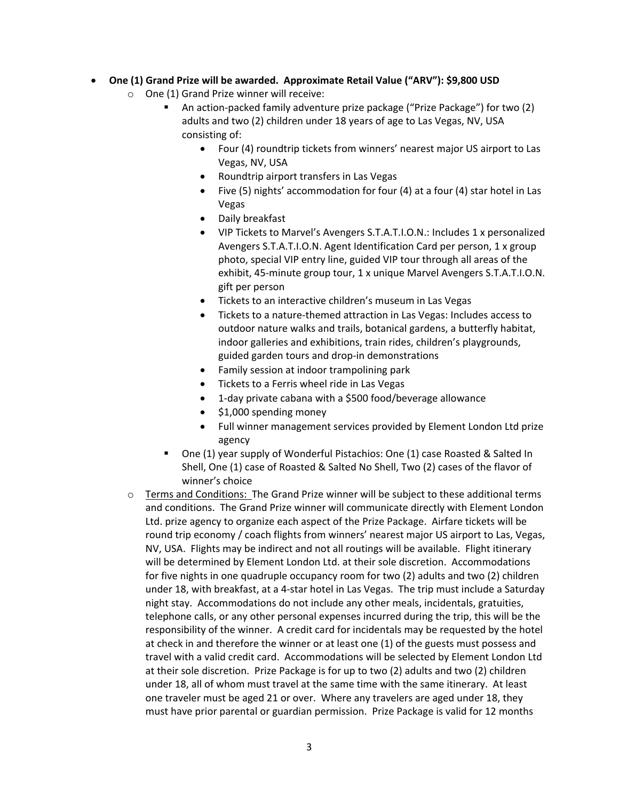- **One (1) Grand Prize will be awarded. Approximate Retail Value ("ARV"): \$9,800 USD**
	- o One (1) Grand Prize winner will receive:
		- An action‐packed family adventure prize package ("Prize Package") for two (2) adults and two (2) children under 18 years of age to Las Vegas, NV, USA consisting of:
			- Four (4) roundtrip tickets from winners' nearest major US airport to Las Vegas, NV, USA
			- Roundtrip airport transfers in Las Vegas
			- Five (5) nights' accommodation for four (4) at a four (4) star hotel in Las Vegas
			- Daily breakfast
			- VIP Tickets to Marvel's Avengers S.T.A.T.I.O.N.: Includes 1 x personalized Avengers S.T.A.T.I.O.N. Agent Identification Card per person, 1 x group photo, special VIP entry line, guided VIP tour through all areas of the exhibit, 45‐minute group tour, 1 x unique Marvel Avengers S.T.A.T.I.O.N. gift per person
			- Tickets to an interactive children's museum in Las Vegas
			- Tickets to a nature-themed attraction in Las Vegas: Includes access to outdoor nature walks and trails, botanical gardens, a butterfly habitat, indoor galleries and exhibitions, train rides, children's playgrounds, guided garden tours and drop‐in demonstrations
			- Family session at indoor trampolining park
			- Tickets to a Ferris wheel ride in Las Vegas
			- 1-day private cabana with a \$500 food/beverage allowance
			- $\bullet$  \$1,000 spending money
			- Full winner management services provided by Element London Ltd prize agency
		- One (1) year supply of Wonderful Pistachios: One (1) case Roasted & Salted In Shell, One (1) case of Roasted & Salted No Shell, Two (2) cases of the flavor of winner's choice
	- o Terms and Conditions: The Grand Prize winner will be subject to these additional terms and conditions. The Grand Prize winner will communicate directly with Element London Ltd. prize agency to organize each aspect of the Prize Package. Airfare tickets will be round trip economy / coach flights from winners' nearest major US airport to Las, Vegas, NV, USA. Flights may be indirect and not all routings will be available. Flight itinerary will be determined by Element London Ltd. at their sole discretion. Accommodations for five nights in one quadruple occupancy room for two (2) adults and two (2) children under 18, with breakfast, at a 4‐star hotel in Las Vegas. The trip must include a Saturday night stay. Accommodations do not include any other meals, incidentals, gratuities, telephone calls, or any other personal expenses incurred during the trip, this will be the responsibility of the winner. A credit card for incidentals may be requested by the hotel at check in and therefore the winner or at least one (1) of the guests must possess and travel with a valid credit card. Accommodations will be selected by Element London Ltd at their sole discretion. Prize Package is for up to two (2) adults and two (2) children under 18, all of whom must travel at the same time with the same itinerary. At least one traveler must be aged 21 or over. Where any travelers are aged under 18, they must have prior parental or guardian permission. Prize Package is valid for 12 months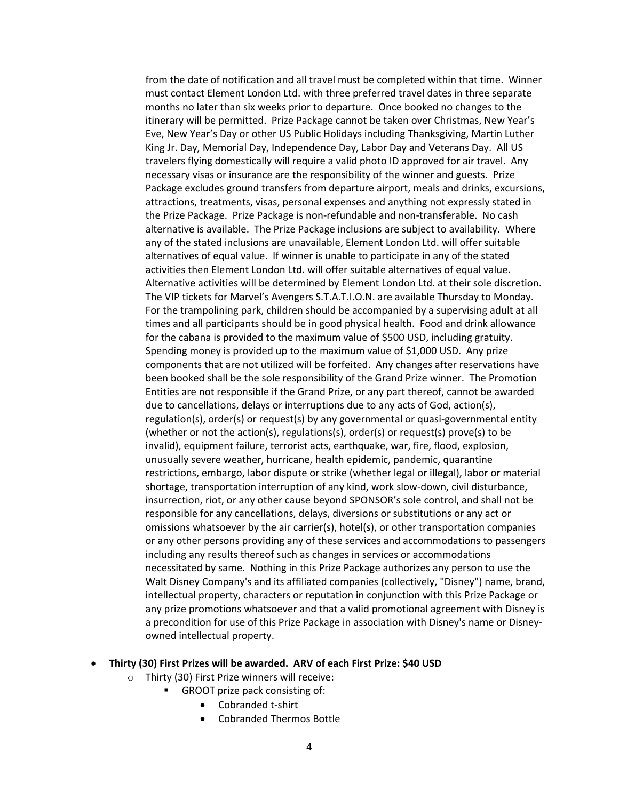from the date of notification and all travel must be completed within that time. Winner must contact Element London Ltd. with three preferred travel dates in three separate months no later than six weeks prior to departure. Once booked no changes to the itinerary will be permitted. Prize Package cannot be taken over Christmas, New Year's Eve, New Year's Day or other US Public Holidays including Thanksgiving, Martin Luther King Jr. Day, Memorial Day, Independence Day, Labor Day and Veterans Day. All US travelers flying domestically will require a valid photo ID approved for air travel. Any necessary visas or insurance are the responsibility of the winner and guests. Prize Package excludes ground transfers from departure airport, meals and drinks, excursions, attractions, treatments, visas, personal expenses and anything not expressly stated in the Prize Package. Prize Package is non‐refundable and non‐transferable. No cash alternative is available. The Prize Package inclusions are subject to availability. Where any of the stated inclusions are unavailable, Element London Ltd. will offer suitable alternatives of equal value. If winner is unable to participate in any of the stated activities then Element London Ltd. will offer suitable alternatives of equal value. Alternative activities will be determined by Element London Ltd. at their sole discretion. The VIP tickets for Marvel's Avengers S.T.A.T.I.O.N. are available Thursday to Monday. For the trampolining park, children should be accompanied by a supervising adult at all times and all participants should be in good physical health. Food and drink allowance for the cabana is provided to the maximum value of \$500 USD, including gratuity. Spending money is provided up to the maximum value of \$1,000 USD. Any prize components that are not utilized will be forfeited. Any changes after reservations have been booked shall be the sole responsibility of the Grand Prize winner. The Promotion Entities are not responsible if the Grand Prize, or any part thereof, cannot be awarded due to cancellations, delays or interruptions due to any acts of God, action(s), regulation(s), order(s) or request(s) by any governmental or quasi‐governmental entity (whether or not the action(s), regulations(s), order(s) or request(s) prove(s) to be invalid), equipment failure, terrorist acts, earthquake, war, fire, flood, explosion, unusually severe weather, hurricane, health epidemic, pandemic, quarantine restrictions, embargo, labor dispute or strike (whether legal or illegal), labor or material shortage, transportation interruption of any kind, work slow‐down, civil disturbance, insurrection, riot, or any other cause beyond SPONSOR's sole control, and shall not be responsible for any cancellations, delays, diversions or substitutions or any act or omissions whatsoever by the air carrier(s), hotel(s), or other transportation companies or any other persons providing any of these services and accommodations to passengers including any results thereof such as changes in services or accommodations necessitated by same. Nothing in this Prize Package authorizes any person to use the Walt Disney Company's and its affiliated companies (collectively, "Disney") name, brand, intellectual property, characters or reputation in conjunction with this Prize Package or any prize promotions whatsoever and that a valid promotional agreement with Disney is a precondition for use of this Prize Package in association with Disney's name or Disney‐ owned intellectual property.

#### **Thirty (30) First Prizes will be awarded. ARV of each First Prize: \$40 USD**

- o Thirty (30) First Prize winners will receive:
	- GROOT prize pack consisting of:
		- Cobranded t‐shirt
		- Cobranded Thermos Bottle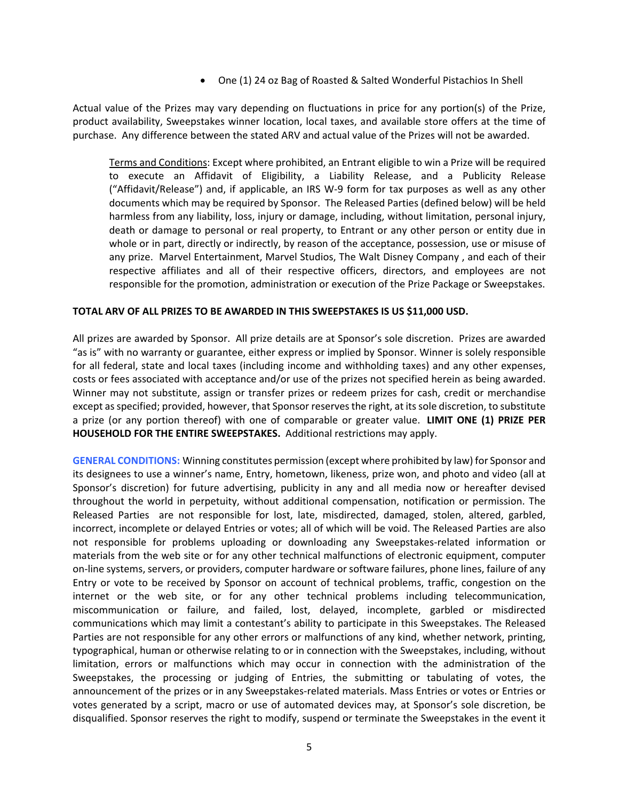One (1) 24 oz Bag of Roasted & Salted Wonderful Pistachios In Shell

Actual value of the Prizes may vary depending on fluctuations in price for any portion(s) of the Prize, product availability, Sweepstakes winner location, local taxes, and available store offers at the time of purchase. Any difference between the stated ARV and actual value of the Prizes will not be awarded.

Terms and Conditions: Except where prohibited, an Entrant eligible to win a Prize will be required to execute an Affidavit of Eligibility, a Liability Release, and a Publicity Release ("Affidavit/Release") and, if applicable, an IRS W‐9 form for tax purposes as well as any other documents which may be required by Sponsor. The Released Parties (defined below) will be held harmless from any liability, loss, injury or damage, including, without limitation, personal injury, death or damage to personal or real property, to Entrant or any other person or entity due in whole or in part, directly or indirectly, by reason of the acceptance, possession, use or misuse of any prize. Marvel Entertainment, Marvel Studios, The Walt Disney Company , and each of their respective affiliates and all of their respective officers, directors, and employees are not responsible for the promotion, administration or execution of the Prize Package or Sweepstakes.

### **TOTAL ARV OF ALL PRIZES TO BE AWARDED IN THIS SWEEPSTAKES IS US \$11,000 USD.**

All prizes are awarded by Sponsor. All prize details are at Sponsor's sole discretion. Prizes are awarded "as is" with no warranty or guarantee, either express or implied by Sponsor. Winner is solely responsible for all federal, state and local taxes (including income and withholding taxes) and any other expenses, costs or fees associated with acceptance and/or use of the prizes not specified herein as being awarded. Winner may not substitute, assign or transfer prizes or redeem prizes for cash, credit or merchandise except asspecified; provided, however, that Sponsor reservesthe right, at itssole discretion, to substitute a prize (or any portion thereof) with one of comparable or greater value. **LIMIT ONE (1) PRIZE PER HOUSEHOLD FOR THE ENTIRE SWEEPSTAKES.** Additional restrictions may apply.

**GENERAL CONDITIONS:** Winning constitutes permission (except where prohibited by law) for Sponsor and its designees to use a winner's name, Entry, hometown, likeness, prize won, and photo and video (all at Sponsor's discretion) for future advertising, publicity in any and all media now or hereafter devised throughout the world in perpetuity, without additional compensation, notification or permission. The Released Parties are not responsible for lost, late, misdirected, damaged, stolen, altered, garbled, incorrect, incomplete or delayed Entries or votes; all of which will be void. The Released Parties are also not responsible for problems uploading or downloading any Sweepstakes-related information or materials from the web site or for any other technical malfunctions of electronic equipment, computer on‐line systems, servers, or providers, computer hardware or software failures, phone lines, failure of any Entry or vote to be received by Sponsor on account of technical problems, traffic, congestion on the internet or the web site, or for any other technical problems including telecommunication, miscommunication or failure, and failed, lost, delayed, incomplete, garbled or misdirected communications which may limit a contestant's ability to participate in this Sweepstakes. The Released Parties are not responsible for any other errors or malfunctions of any kind, whether network, printing, typographical, human or otherwise relating to or in connection with the Sweepstakes, including, without limitation, errors or malfunctions which may occur in connection with the administration of the Sweepstakes, the processing or judging of Entries, the submitting or tabulating of votes, the announcement of the prizes or in any Sweepstakes‐related materials. Mass Entries or votes or Entries or votes generated by a script, macro or use of automated devices may, at Sponsor's sole discretion, be disqualified. Sponsor reserves the right to modify, suspend or terminate the Sweepstakes in the event it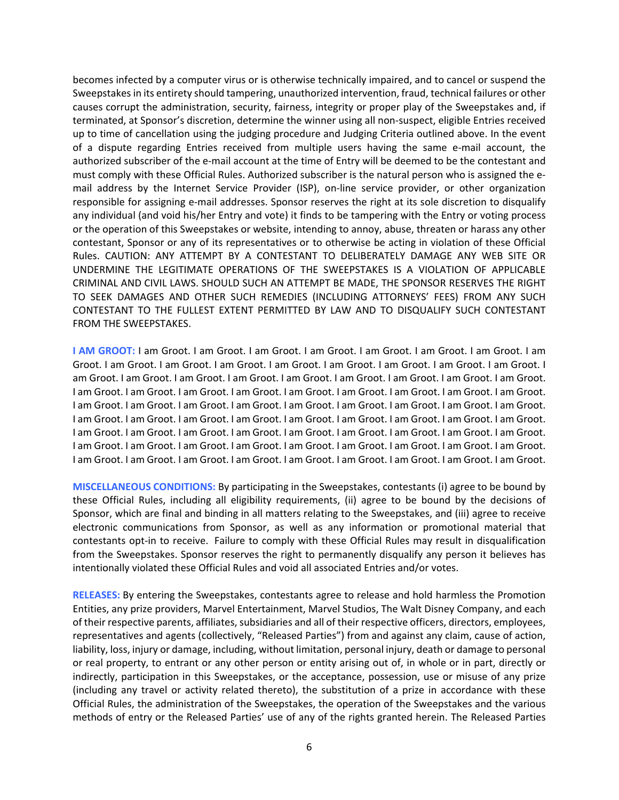becomes infected by a computer virus or is otherwise technically impaired, and to cancel or suspend the Sweepstakes in its entirety should tampering, unauthorized intervention, fraud, technical failures or other causes corrupt the administration, security, fairness, integrity or proper play of the Sweepstakes and, if terminated, at Sponsor's discretion, determine the winner using all non‐suspect, eligible Entries received up to time of cancellation using the judging procedure and Judging Criteria outlined above. In the event of a dispute regarding Entries received from multiple users having the same e‐mail account, the authorized subscriber of the e-mail account at the time of Entry will be deemed to be the contestant and must comply with these Official Rules. Authorized subscriber is the natural person who is assigned the e‐ mail address by the Internet Service Provider (ISP), on-line service provider, or other organization responsible for assigning e‐mail addresses. Sponsor reserves the right at its sole discretion to disqualify any individual (and void his/her Entry and vote) it finds to be tampering with the Entry or voting process or the operation of this Sweepstakes or website, intending to annoy, abuse, threaten or harass any other contestant, Sponsor or any of its representatives or to otherwise be acting in violation of these Official Rules. CAUTION: ANY ATTEMPT BY A CONTESTANT TO DELIBERATELY DAMAGE ANY WEB SITE OR UNDERMINE THE LEGITIMATE OPERATIONS OF THE SWEEPSTAKES IS A VIOLATION OF APPLICABLE CRIMINAL AND CIVIL LAWS. SHOULD SUCH AN ATTEMPT BE MADE, THE SPONSOR RESERVES THE RIGHT TO SEEK DAMAGES AND OTHER SUCH REMEDIES (INCLUDING ATTORNEYS' FEES) FROM ANY SUCH CONTESTANT TO THE FULLEST EXTENT PERMITTED BY LAW AND TO DISQUALIFY SUCH CONTESTANT FROM THE SWEEPSTAKES.

**I AM GROOT:** I am Groot. I am Groot. I am Groot. I am Groot. I am Groot. I am Groot. I am Groot. I am Groot. I am Groot. I am Groot. I am Groot. I am Groot. I am Groot. I am Groot. I am Groot. I am Groot. I am Groot. I am Groot. I am Groot. I am Groot. I am Groot. I am Groot. I am Groot. I am Groot. I am Groot. I am Groot. I am Groot. I am Groot. I am Groot. I am Groot. I am Groot. I am Groot. I am Groot. I am Groot. I am Groot. I am Groot. I am Groot. I am Groot. I am Groot. I am Groot. I am Groot. I am Groot. I am Groot. I am Groot. I am Groot. I am Groot. I am Groot. I am Groot. I am Groot. I am Groot. I am Groot. I am Groot. I am Groot. I am Groot. I am Groot. I am Groot. I am Groot. I am Groot. I am Groot. I am Groot. I am Groot. I am Groot. I am Groot. I am Groot. I am Groot. I am Groot. I am Groot. I am Groot. I am Groot. I am Groot. I am Groot. I am Groot. I am Groot. I am Groot. I am Groot. I am Groot. I am Groot. I am Groot. I am Groot.

**MISCELLANEOUS CONDITIONS:** By participating in the Sweepstakes, contestants (i) agree to be bound by these Official Rules, including all eligibility requirements, (ii) agree to be bound by the decisions of Sponsor, which are final and binding in all matters relating to the Sweepstakes, and (iii) agree to receive electronic communications from Sponsor, as well as any information or promotional material that contestants opt‐in to receive. Failure to comply with these Official Rules may result in disqualification from the Sweepstakes. Sponsor reserves the right to permanently disqualify any person it believes has intentionally violated these Official Rules and void all associated Entries and/or votes.

**RELEASES:** By entering the Sweepstakes, contestants agree to release and hold harmless the Promotion Entities, any prize providers, Marvel Entertainment, Marvel Studios, The Walt Disney Company, and each of their respective parents, affiliates, subsidiaries and all of their respective officers, directors, employees, representatives and agents (collectively, "Released Parties") from and against any claim, cause of action, liability, loss, injury or damage, including, without limitation, personal injury, death or damage to personal or real property, to entrant or any other person or entity arising out of, in whole or in part, directly or indirectly, participation in this Sweepstakes, or the acceptance, possession, use or misuse of any prize (including any travel or activity related thereto), the substitution of a prize in accordance with these Official Rules, the administration of the Sweepstakes, the operation of the Sweepstakes and the various methods of entry or the Released Parties' use of any of the rights granted herein. The Released Parties